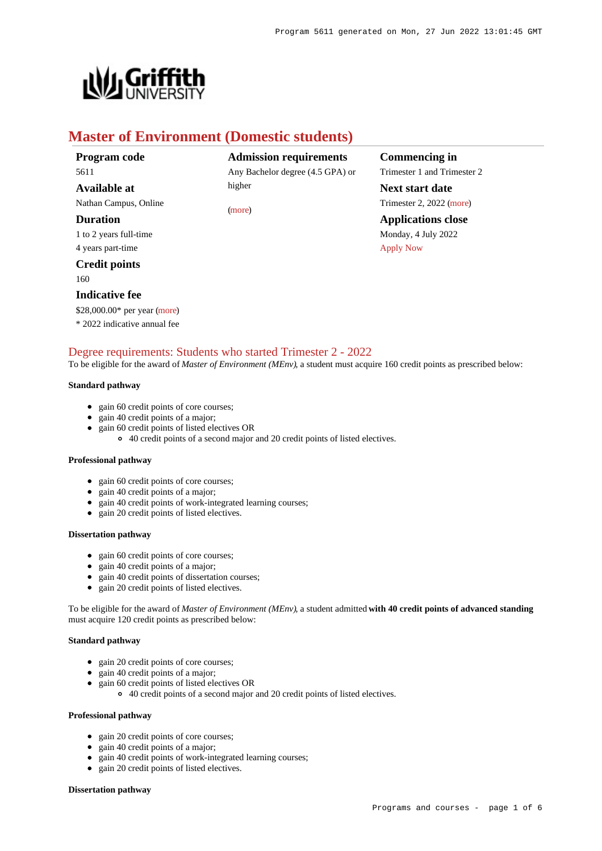

# **Master of Environment (Domestic students)**

| Program code          |
|-----------------------|
| 5611                  |
| Available at          |
| Nathan Campus, Online |

### **Duration**

1 to 2 years full-time 4 years part-time

### **Credit points** 160

# **Indicative fee**

\$28,000.00\* per year [\(more](https://www148.griffith.edu.au/programs-courses/Program/5611/Overview/Domestic#fees))

\* 2022 indicative annual fee

**Admission requirements** Any Bachelor degree (4.5 GPA) or higher

[\(more](https://www148.griffith.edu.au/programs-courses/Program/5611/HowToApply/Domestic#can-i-apply))

**Commencing in** Trimester 1 and Trimester 2 **Next start date** Trimester 2, 2022 [\(more](https://www148.griffith.edu.au/programs-courses/Program/5611/HowToApply/Domestic)) **Applications close** Monday, 4 July 2022 [Apply Now](https://www148.griffith.edu.au/programs-courses/Program/5611/Courses/Domestic#)

# [Degree requirements: Students who started Trimester 2 - 2022](https://www148.griffith.edu.au/programs-courses/Program/5611/Courses/Domestic#degree-requirements)

To be eligible for the award of *Master of Environment (MEnv)*, a student must acquire 160 credit points as prescribed below:

#### **Standard pathway**

- gain 60 credit points of core courses;
- gain 40 credit points of a major;
- gain 60 credit points of listed electives OR
	- 40 credit points of a second major and 20 credit points of listed electives.

### **Professional pathway**

- gain 60 credit points of core courses;
- gain 40 credit points of a major;
- gain 40 credit points of work-integrated learning courses;
- gain 20 credit points of listed electives.

#### **Dissertation pathway**

- gain 60 credit points of core courses;
- gain 40 credit points of a major;  $\bullet$
- gain 40 credit points of dissertation courses;
- gain 20 credit points of listed electives.

To be eligible for the award of *Master of Environment (MEnv)*, a student admitted **with 40 credit points of advanced standing** must acquire 120 credit points as prescribed below:

#### **Standard pathway**

- gain 20 credit points of core courses;
- gain 40 credit points of a major;
- gain 60 credit points of listed electives OR
	- 40 credit points of a second major and 20 credit points of listed electives.

#### **Professional pathway**

- gain 20 credit points of core courses;
- gain 40 credit points of a major;
- gain 40 credit points of work-integrated learning courses;
- gain 20 credit points of listed electives.

#### **Dissertation pathway**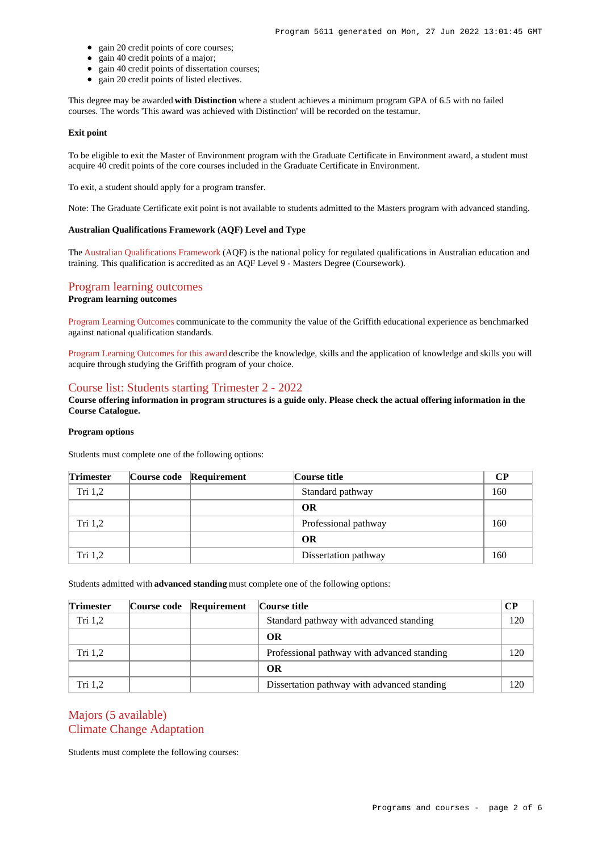- gain 20 credit points of core courses;
- gain 40 credit points of a major;
- gain 40 credit points of dissertation courses;
- gain 20 credit points of listed electives.

This degree may be awarded **with Distinction** where a student achieves a minimum program GPA of 6.5 with no failed courses. The words 'This award was achieved with Distinction' will be recorded on the testamur.

#### **Exit point**

To be eligible to exit the Master of Environment program with the Graduate Certificate in Environment award, a student must acquire 40 credit points of the core courses included in the Graduate Certificate in Environment.

To exit, a student should apply for a program transfer.

Note: The Graduate Certificate exit point is not available to students admitted to the Masters program with advanced standing.

#### **Australian Qualifications Framework (AQF) Level and Type**

The [Australian Qualifications Framework](http://www.aqf.edu.au/) (AQF) is the national policy for regulated qualifications in Australian education and training. This qualification is accredited as an AQF Level 9 - Masters Degree (Coursework).

### [Program learning outcomes](https://www148.griffith.edu.au/programs-courses/Program/5611/Courses/Domestic#programLearningOutcomes)

#### **Program learning outcomes**

[Program Learning Outcomes](https://www.griffith.edu.au/__data/assets/pdf_file/0017/134522/PLO-general-advice.pdf) communicate to the community the value of the Griffith educational experience as benchmarked against national qualification standards.

[Program Learning Outcomes for this award](https://www.griffith.edu.au/__data/assets/pdf_file/0012/301152/MEnvironment-PLO-L9.pdf) describe the knowledge, skills and the application of knowledge and skills you will acquire through studying the Griffith program of your choice.

#### [Course list: Students starting Trimester 2 - 2022](https://www148.griffith.edu.au/programs-courses/Program/5611/Courses/Domestic#course-list-content)

**Course offering information in program structures is a guide only. Please check the actual offering information in the Course Catalogue.**

#### **Program options**

Students must complete one of the following options:

| <b>Trimester</b> | Course code Requirement | <b>Course title</b>  | $\bf CP$ |
|------------------|-------------------------|----------------------|----------|
| Tri $1,2$        |                         | Standard pathway     | 160      |
|                  |                         | OR                   |          |
| Tri $1,2$        |                         | Professional pathway | 160      |
|                  |                         | <b>OR</b>            |          |
| Tri 1,2          |                         | Dissertation pathway | 160      |

Students admitted with **advanced standing** must complete one of the following options:

| <b>Trimester</b> | Course code Requirement | Course title                                |     |
|------------------|-------------------------|---------------------------------------------|-----|
| Tri 1,2          |                         | Standard pathway with advanced standing     | 120 |
|                  |                         | OR                                          |     |
| Tri $1,2$        |                         | Professional pathway with advanced standing | 120 |
|                  |                         | <b>OR</b>                                   |     |
| Tri $1,2$        |                         | Dissertation pathway with advanced standing | 120 |

# Majors (5 available) Climate Change Adaptation

Students must complete the following courses: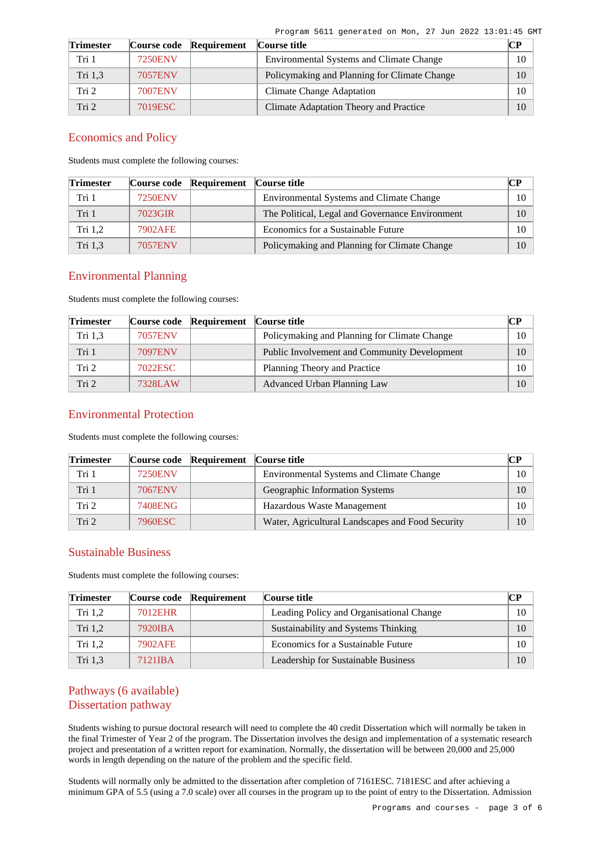Program 5611 generated on Mon, 27 Jun 2022 13:01:45 GMT

| <b>Trimester</b> |                | Course code Requirement | Course title                                    | CР |
|------------------|----------------|-------------------------|-------------------------------------------------|----|
| Tri 1            | <b>7250ENV</b> |                         | <b>Environmental Systems and Climate Change</b> | 10 |
| Tri 1,3          | <b>7057ENV</b> |                         | Policymaking and Planning for Climate Change    | 10 |
| Tri 2            | <b>7007ENV</b> |                         | Climate Change Adaptation                       | 10 |
| Tri <sub>2</sub> | 7019ESC        |                         | Climate Adaptation Theory and Practice          | 10 |

# Economics and Policy

Students must complete the following courses:

| <b>Trimester</b> |                | Course code Requirement | Course title                                    | CР |
|------------------|----------------|-------------------------|-------------------------------------------------|----|
| Tri 1            | <b>7250ENV</b> |                         | <b>Environmental Systems and Climate Change</b> | 10 |
| Tri 1            | 7023GIR        |                         | The Political, Legal and Governance Environment | 10 |
| Tri $1,2$        | 7902AFE        |                         | Economics for a Sustainable Future              | 10 |
| Tri 1.3          | <b>7057ENV</b> |                         | Policymaking and Planning for Climate Change    | 10 |

# Environmental Planning

Students must complete the following courses:

| <b>Trimester</b> |                | Course code Requirement | Course title                                 | $\mathbf{C}\mathbf{P}$ |
|------------------|----------------|-------------------------|----------------------------------------------|------------------------|
| Tri $1,3$        | <b>7057ENV</b> |                         | Policymaking and Planning for Climate Change | 10                     |
| Tri 1            | 7097ENV        |                         | Public Involvement and Community Development | 10                     |
| Tri 2            | 7022ESC        |                         | Planning Theory and Practice                 | 10                     |
| Tri 2            | 7328LAW        |                         | Advanced Urban Planning Law                  | 10                     |

# Environmental Protection

Students must complete the following courses:

| <b>Trimester</b> |                | Course code Requirement | Course title                                     | CР |
|------------------|----------------|-------------------------|--------------------------------------------------|----|
| Tri 1            | <b>7250ENV</b> |                         | <b>Environmental Systems and Climate Change</b>  | 10 |
| Tri 1            | 7067ENV        |                         | Geographic Information Systems                   | 10 |
| Tri 2            | 7408ENG        |                         | Hazardous Waste Management                       | 10 |
| Tri 2            | 7960ESC        |                         | Water, Agricultural Landscapes and Food Security | 10 |

# Sustainable Business

Students must complete the following courses:

| <b>Trimester</b> |         | Course code Requirement | Course title                             | CР |
|------------------|---------|-------------------------|------------------------------------------|----|
| Tri 1.2          | 7012EHR |                         | Leading Policy and Organisational Change | 10 |
| Tri 1.2          | 7920IBA |                         | Sustainability and Systems Thinking      | 10 |
| Tri $1,2$        | 7902AFE |                         | Economics for a Sustainable Future       | 10 |
| Tri 1,3          | 7121IBA |                         | Leadership for Sustainable Business      | 10 |

# Pathways (6 available) Dissertation pathway

Students wishing to pursue doctoral research will need to complete the 40 credit Dissertation which will normally be taken in the final Trimester of Year 2 of the program. The Dissertation involves the design and implementation of a systematic research project and presentation of a written report for examination. Normally, the dissertation will be between 20,000 and 25,000 words in length depending on the nature of the problem and the specific field.

Students will normally only be admitted to the dissertation after completion of 7161ESC. 7181ESC and after achieving a minimum GPA of 5.5 (using a 7.0 scale) over all courses in the program up to the point of entry to the Dissertation. Admission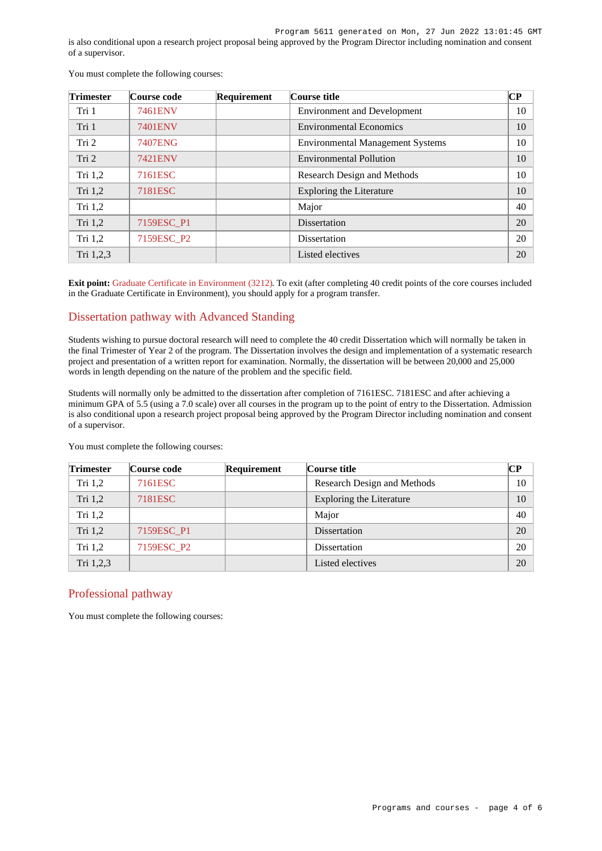is also conditional upon a research project proposal being approved by the Program Director including nomination and consent of a supervisor.

| <b>Trimester</b> | Course code    | Requirement | Course title                            | $\bf CP$ |
|------------------|----------------|-------------|-----------------------------------------|----------|
| Tri 1            | 7461ENV        |             | <b>Environment and Development</b>      | 10       |
| Tri 1            | <b>7401ENV</b> |             | <b>Environmental Economics</b>          | 10       |
| Tri 2            | 7407ENG        |             | <b>Environmental Management Systems</b> | 10       |
| Tri 2            | 7421ENV        |             | <b>Environmental Pollution</b>          | 10       |
| Tri 1,2          | 7161ESC        |             | Research Design and Methods             | 10       |
| Tri 1,2          | 7181ESC        |             | Exploring the Literature                | 10       |
| Tri 1,2          |                |             | Major                                   | 40       |
| Tri 1,2          | 7159ESC P1     |             | Dissertation                            | 20       |
| Tri 1,2          | 7159ESC P2     |             | <b>Dissertation</b>                     | 20       |
| Tri 1,2,3        |                |             | Listed electives                        | 20       |

You must complete the following courses:

**Exit point:** [Graduate Certificate in Environment \(3212\)](https://www148.griffith.edu.au/Search/Results?SearchText=3212). To exit (after completing 40 credit points of the core courses included in the Graduate Certificate in Environment), you should apply for a program transfer.

# Dissertation pathway with Advanced Standing

Students wishing to pursue doctoral research will need to complete the 40 credit Dissertation which will normally be taken in the final Trimester of Year 2 of the program. The Dissertation involves the design and implementation of a systematic research project and presentation of a written report for examination. Normally, the dissertation will be between 20,000 and 25,000 words in length depending on the nature of the problem and the specific field.

Students will normally only be admitted to the dissertation after completion of 7161ESC. 7181ESC and after achieving a minimum GPA of 5.5 (using a 7.0 scale) over all courses in the program up to the point of entry to the Dissertation. Admission is also conditional upon a research project proposal being approved by the Program Director including nomination and consent of a supervisor.

You must complete the following courses:

| <b>Trimester</b> | Course code | Requirement | Course title                | CР |
|------------------|-------------|-------------|-----------------------------|----|
| Tri $1,2$        | 7161ESC     |             | Research Design and Methods | 10 |
| Tri 1,2          | 7181ESC     |             | Exploring the Literature    | 10 |
| Tri $1,2$        |             |             | Major                       | 40 |
| Tri 1,2          | 7159ESC P1  |             | <b>Dissertation</b>         | 20 |
| Tri $1,2$        | 7159ESC P2  |             | Dissertation                | 20 |
| Tri 1,2,3        |             |             | Listed electives            | 20 |

### Professional pathway

You must complete the following courses: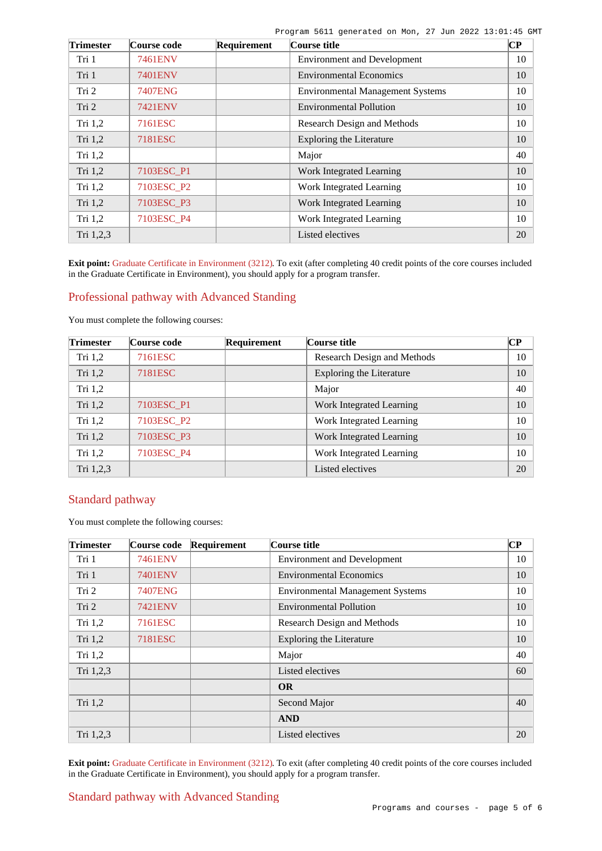| Trimester | Course code    | Requirement | Course title                            | CР |
|-----------|----------------|-------------|-----------------------------------------|----|
| Tri 1     | 7461ENV        |             | <b>Environment and Development</b>      | 10 |
| Tri 1     | <b>7401ENV</b> |             | <b>Environmental Economics</b>          | 10 |
| Tri 2     | 7407ENG        |             | <b>Environmental Management Systems</b> | 10 |
| Tri 2     | <b>7421ENV</b> |             | <b>Environmental Pollution</b>          | 10 |
| Tri $1,2$ | 7161ESC        |             | Research Design and Methods             | 10 |
| Tri 1,2   | 7181ESC        |             | Exploring the Literature                | 10 |
| Tri $1,2$ |                |             | Major                                   | 40 |
| Tri 1,2   | 7103ESC P1     |             | Work Integrated Learning                | 10 |
| Tri $1,2$ | 7103ESC P2     |             | Work Integrated Learning                | 10 |
| Tri $1,2$ | 7103ESC P3     |             | Work Integrated Learning                | 10 |
| Tri $1,2$ | 7103ESC P4     |             | Work Integrated Learning                | 10 |
| Tri 1,2,3 |                |             | Listed electives                        | 20 |

**Exit point:** [Graduate Certificate in Environment \(3212\)](https://www148.griffith.edu.au/Search/Results?SearchText=3212). To exit (after completing 40 credit points of the core courses included in the Graduate Certificate in Environment), you should apply for a program transfer.

# Professional pathway with Advanced Standing

You must complete the following courses:

| <b>Trimester</b> | Course code | Requirement | Course title                | <b>CP</b> |
|------------------|-------------|-------------|-----------------------------|-----------|
| Tri $1,2$        | 7161ESC     |             | Research Design and Methods | 10        |
| Tri $1,2$        | 7181ESC     |             | Exploring the Literature    | 10        |
| Tri $1,2$        |             |             | Major                       | 40        |
| Tri $1,2$        | 7103ESC P1  |             | Work Integrated Learning    | 10        |
| Tri $1,2$        | 7103ESC P2  |             | Work Integrated Learning    | 10        |
| Tri 1,2          | 7103ESC P3  |             | Work Integrated Learning    | 10        |
| Tri 1,2          | 7103ESC_P4  |             | Work Integrated Learning    | 10        |
| Tri 1,2,3        |             |             | Listed electives            | 20        |

# Standard pathway

You must complete the following courses:

| <b>Trimester</b> | Course code    | Requirement | Course title                            | $\bf CP$ |
|------------------|----------------|-------------|-----------------------------------------|----------|
| Tri 1            | 7461ENV        |             | <b>Environment and Development</b>      | 10       |
| Tri 1            | 7401ENV        |             | <b>Environmental Economics</b>          | 10       |
| Tri 2            | <b>7407ENG</b> |             | <b>Environmental Management Systems</b> | 10       |
| Tri 2            | 7421ENV        |             | <b>Environmental Pollution</b>          | 10       |
| Tri $1,2$        | 7161ESC        |             | Research Design and Methods             | 10       |
| Tri 1,2          | 7181ESC        |             | Exploring the Literature                | 10       |
| Tri $1,2$        |                |             | Major                                   | 40       |
| Tri 1,2,3        |                |             | Listed electives                        | 60       |
|                  |                |             | <b>OR</b>                               |          |
| Tri 1,2          |                |             | Second Major                            | 40       |
|                  |                |             | <b>AND</b>                              |          |
| Tri 1,2,3        |                |             | Listed electives                        | 20       |

**Exit point:** [Graduate Certificate in Environment \(3212\)](https://www148.griffith.edu.au/Search/Results?SearchText=3212). To exit (after completing 40 credit points of the core courses included in the Graduate Certificate in Environment), you should apply for a program transfer.

# Standard pathway with Advanced Standing